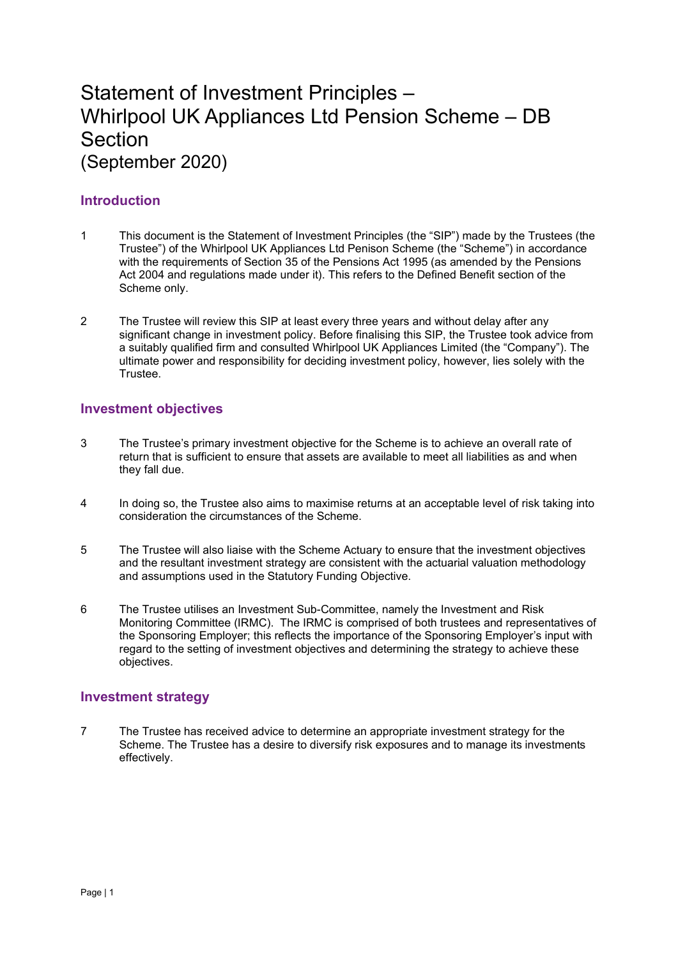# Statement of Investment Principles – Whirlpool UK Appliances Ltd Pension Scheme – DB Section (September 2020)

# **Introduction**

- 1 This document is the Statement of Investment Principles (the "SIP") made by the Trustees (the Trustee") of the Whirlpool UK Appliances Ltd Penison Scheme (the "Scheme") in accordance with the requirements of Section 35 of the Pensions Act 1995 (as amended by the Pensions Act 2004 and regulations made under it). This refers to the Defined Benefit section of the Scheme only.
- 2 The Trustee will review this SIP at least every three years and without delay after any significant change in investment policy. Before finalising this SIP, the Trustee took advice from a suitably qualified firm and consulted Whirlpool UK Appliances Limited (the "Company"). The ultimate power and responsibility for deciding investment policy, however, lies solely with the Trustee.

## **Investment objectives**

- 3 The Trustee's primary investment objective for the Scheme is to achieve an overall rate of return that is sufficient to ensure that assets are available to meet all liabilities as and when they fall due.
- 4 In doing so, the Trustee also aims to maximise returns at an acceptable level of risk taking into consideration the circumstances of the Scheme.
- 5 The Trustee will also liaise with the Scheme Actuary to ensure that the investment objectives and the resultant investment strategy are consistent with the actuarial valuation methodology and assumptions used in the Statutory Funding Objective.
- 6 The Trustee utilises an Investment Sub-Committee, namely the Investment and Risk Monitoring Committee (IRMC). The IRMC is comprised of both trustees and representatives of the Sponsoring Employer; this reflects the importance of the Sponsoring Employer's input with regard to the setting of investment objectives and determining the strategy to achieve these objectives.

## **Investment strategy**

7 The Trustee has received advice to determine an appropriate investment strategy for the Scheme. The Trustee has a desire to diversify risk exposures and to manage its investments effectively.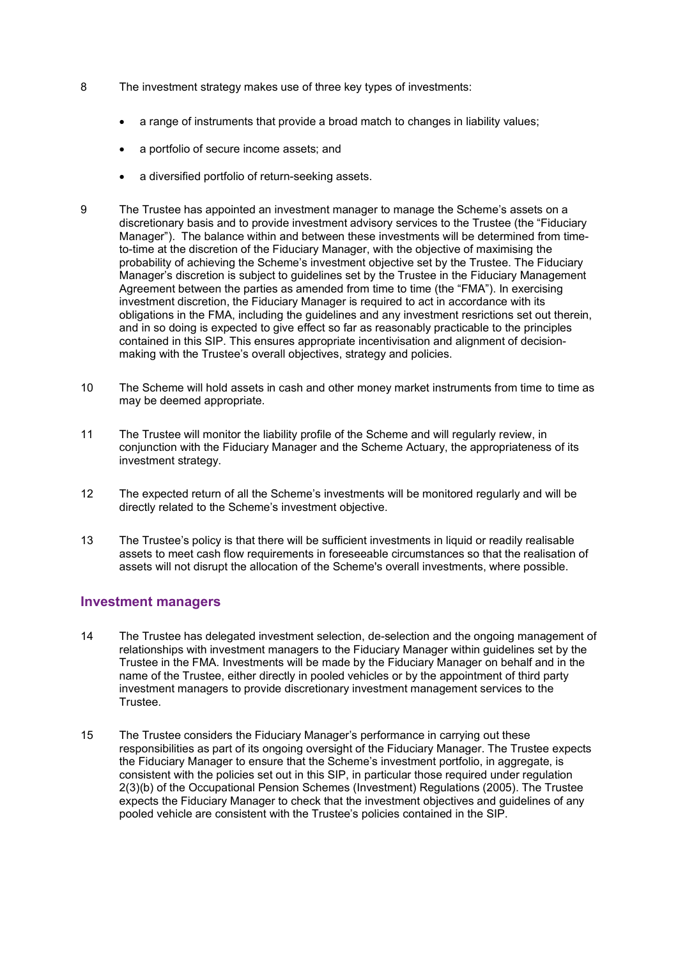- 8 The investment strategy makes use of three key types of investments:
	- a range of instruments that provide a broad match to changes in liability values;
	- a portfolio of secure income assets; and
	- a diversified portfolio of return-seeking assets.
- 9 The Trustee has appointed an investment manager to manage the Scheme's assets on a discretionary basis and to provide investment advisory services to the Trustee (the "Fiduciary Manager"). The balance within and between these investments will be determined from timeto-time at the discretion of the Fiduciary Manager, with the objective of maximising the probability of achieving the Scheme's investment objective set by the Trustee. The Fiduciary Manager's discretion is subject to guidelines set by the Trustee in the Fiduciary Management Agreement between the parties as amended from time to time (the "FMA"). In exercising investment discretion, the Fiduciary Manager is required to act in accordance with its obligations in the FMA, including the guidelines and any investment resrictions set out therein, and in so doing is expected to give effect so far as reasonably practicable to the principles contained in this SIP. This ensures appropriate incentivisation and alignment of decisionmaking with the Trustee's overall objectives, strategy and policies.
- 10 The Scheme will hold assets in cash and other money market instruments from time to time as may be deemed appropriate.
- 11 The Trustee will monitor the liability profile of the Scheme and will regularly review, in conjunction with the Fiduciary Manager and the Scheme Actuary, the appropriateness of its investment strategy.
- 12 The expected return of all the Scheme's investments will be monitored regularly and will be directly related to the Scheme's investment objective.
- 13 The Trustee's policy is that there will be sufficient investments in liquid or readily realisable assets to meet cash flow requirements in foreseeable circumstances so that the realisation of assets will not disrupt the allocation of the Scheme's overall investments, where possible.

## **Investment managers**

- 14 The Trustee has delegated investment selection, de-selection and the ongoing management of relationships with investment managers to the Fiduciary Manager within guidelines set by the Trustee in the FMA. Investments will be made by the Fiduciary Manager on behalf and in the name of the Trustee, either directly in pooled vehicles or by the appointment of third party investment managers to provide discretionary investment management services to the Trustee.
- 15 The Trustee considers the Fiduciary Manager's performance in carrying out these responsibilities as part of its ongoing oversight of the Fiduciary Manager. The Trustee expects the Fiduciary Manager to ensure that the Scheme's investment portfolio, in aggregate, is consistent with the policies set out in this SIP, in particular those required under regulation 2(3)(b) of the Occupational Pension Schemes (Investment) Regulations (2005). The Trustee expects the Fiduciary Manager to check that the investment objectives and guidelines of any pooled vehicle are consistent with the Trustee's policies contained in the SIP.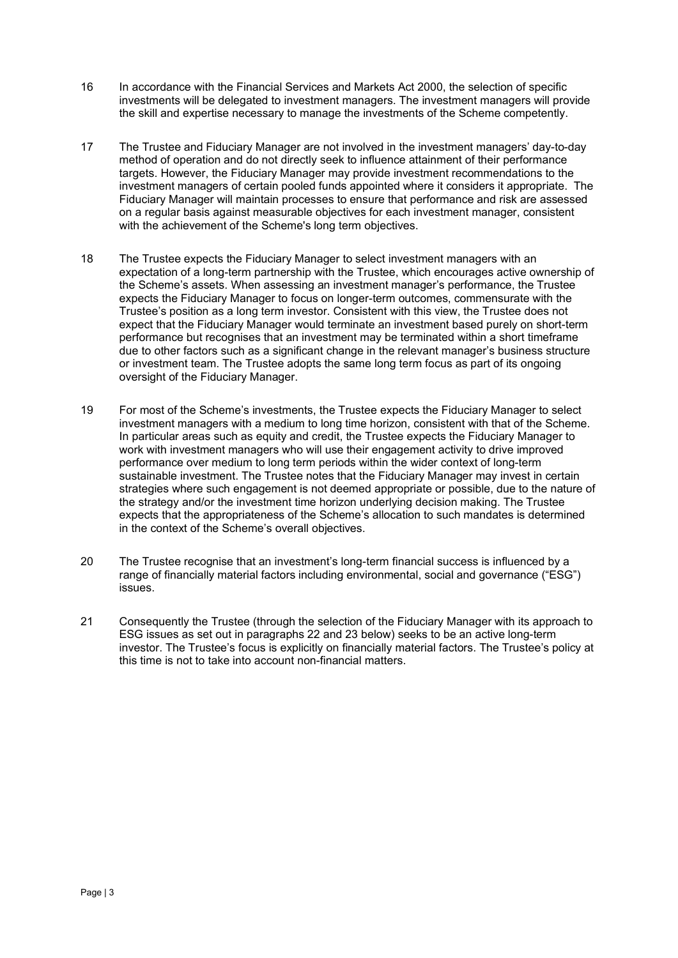- 16 In accordance with the Financial Services and Markets Act 2000, the selection of specific investments will be delegated to investment managers. The investment managers will provide the skill and expertise necessary to manage the investments of the Scheme competently.
- 17 The Trustee and Fiduciary Manager are not involved in the investment managers' day-to-day method of operation and do not directly seek to influence attainment of their performance targets. However, the Fiduciary Manager may provide investment recommendations to the investment managers of certain pooled funds appointed where it considers it appropriate. The Fiduciary Manager will maintain processes to ensure that performance and risk are assessed on a regular basis against measurable objectives for each investment manager, consistent with the achievement of the Scheme's long term objectives.
- 18 The Trustee expects the Fiduciary Manager to select investment managers with an expectation of a long-term partnership with the Trustee, which encourages active ownership of the Scheme's assets. When assessing an investment manager's performance, the Trustee expects the Fiduciary Manager to focus on longer-term outcomes, commensurate with the Trustee's position as a long term investor. Consistent with this view, the Trustee does not expect that the Fiduciary Manager would terminate an investment based purely on short-term performance but recognises that an investment may be terminated within a short timeframe due to other factors such as a significant change in the relevant manager's business structure or investment team. The Trustee adopts the same long term focus as part of its ongoing oversight of the Fiduciary Manager.
- 19 For most of the Scheme's investments, the Trustee expects the Fiduciary Manager to select investment managers with a medium to long time horizon, consistent with that of the Scheme. In particular areas such as equity and credit, the Trustee expects the Fiduciary Manager to work with investment managers who will use their engagement activity to drive improved performance over medium to long term periods within the wider context of long-term sustainable investment. The Trustee notes that the Fiduciary Manager may invest in certain strategies where such engagement is not deemed appropriate or possible, due to the nature of the strategy and/or the investment time horizon underlying decision making. The Trustee expects that the appropriateness of the Scheme's allocation to such mandates is determined in the context of the Scheme's overall objectives.
- 20 The Trustee recognise that an investment's long-term financial success is influenced by a range of financially material factors including environmental, social and governance ("ESG") issues.
- 21 Consequently the Trustee (through the selection of the Fiduciary Manager with its approach to ESG issues as set out in paragraphs 22 and 23 below) seeks to be an active long-term investor. The Trustee's focus is explicitly on financially material factors. The Trustee's policy at this time is not to take into account non-financial matters.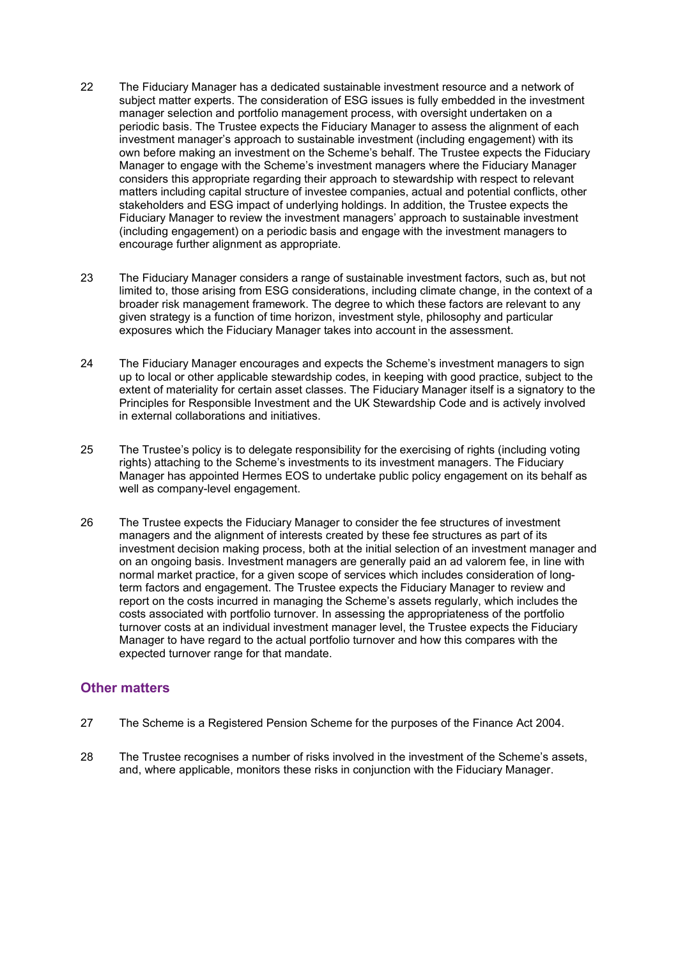- 22 The Fiduciary Manager has a dedicated sustainable investment resource and a network of subject matter experts. The consideration of ESG issues is fully embedded in the investment manager selection and portfolio management process, with oversight undertaken on a periodic basis. The Trustee expects the Fiduciary Manager to assess the alignment of each investment manager's approach to sustainable investment (including engagement) with its own before making an investment on the Scheme's behalf. The Trustee expects the Fiduciary Manager to engage with the Scheme's investment managers where the Fiduciary Manager considers this appropriate regarding their approach to stewardship with respect to relevant matters including capital structure of investee companies, actual and potential conflicts, other stakeholders and ESG impact of underlying holdings. In addition, the Trustee expects the Fiduciary Manager to review the investment managers' approach to sustainable investment (including engagement) on a periodic basis and engage with the investment managers to encourage further alignment as appropriate.
- 23 The Fiduciary Manager considers a range of sustainable investment factors, such as, but not limited to, those arising from ESG considerations, including climate change, in the context of a broader risk management framework. The degree to which these factors are relevant to any given strategy is a function of time horizon, investment style, philosophy and particular exposures which the Fiduciary Manager takes into account in the assessment.
- 24 The Fiduciary Manager encourages and expects the Scheme's investment managers to sign up to local or other applicable stewardship codes, in keeping with good practice, subject to the extent of materiality for certain asset classes. The Fiduciary Manager itself is a signatory to the Principles for Responsible Investment and the UK Stewardship Code and is actively involved in external collaborations and initiatives.
- 25 The Trustee's policy is to delegate responsibility for the exercising of rights (including voting rights) attaching to the Scheme's investments to its investment managers. The Fiduciary Manager has appointed Hermes EOS to undertake public policy engagement on its behalf as well as company-level engagement.
- 26 The Trustee expects the Fiduciary Manager to consider the fee structures of investment managers and the alignment of interests created by these fee structures as part of its investment decision making process, both at the initial selection of an investment manager and on an ongoing basis. Investment managers are generally paid an ad valorem fee, in line with normal market practice, for a given scope of services which includes consideration of longterm factors and engagement. The Trustee expects the Fiduciary Manager to review and report on the costs incurred in managing the Scheme's assets regularly, which includes the costs associated with portfolio turnover. In assessing the appropriateness of the portfolio turnover costs at an individual investment manager level, the Trustee expects the Fiduciary Manager to have regard to the actual portfolio turnover and how this compares with the expected turnover range for that mandate.

## **Other matters**

- 27 The Scheme is a Registered Pension Scheme for the purposes of the Finance Act 2004.
- 28 The Trustee recognises a number of risks involved in the investment of the Scheme's assets, and, where applicable, monitors these risks in conjunction with the Fiduciary Manager.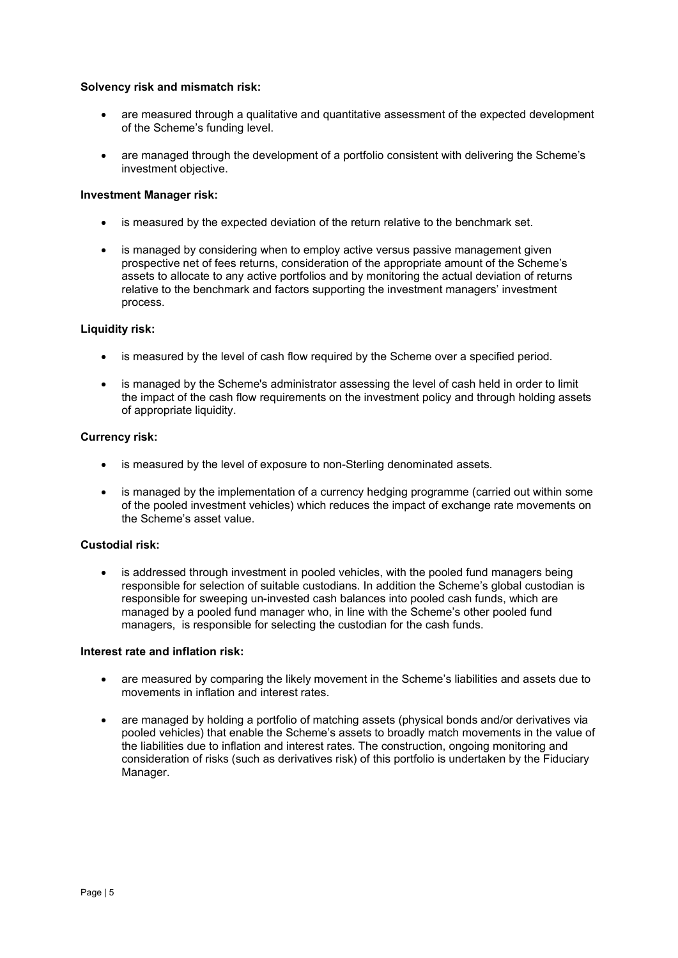#### **Solvency risk and mismatch risk:**

- are measured through a qualitative and quantitative assessment of the expected development of the Scheme's funding level.
- are managed through the development of a portfolio consistent with delivering the Scheme's investment objective.

#### **Investment Manager risk:**

- is measured by the expected deviation of the return relative to the benchmark set.
- is managed by considering when to employ active versus passive management given prospective net of fees returns, consideration of the appropriate amount of the Scheme's assets to allocate to any active portfolios and by monitoring the actual deviation of returns relative to the benchmark and factors supporting the investment managers' investment process.

#### **Liquidity risk:**

- is measured by the level of cash flow required by the Scheme over a specified period.
- is managed by the Scheme's administrator assessing the level of cash held in order to limit the impact of the cash flow requirements on the investment policy and through holding assets of appropriate liquidity.

#### **Currency risk:**

- is measured by the level of exposure to non-Sterling denominated assets.
- is managed by the implementation of a currency hedging programme (carried out within some of the pooled investment vehicles) which reduces the impact of exchange rate movements on the Scheme's asset value.

## **Custodial risk:**

is addressed through investment in pooled vehicles, with the pooled fund managers being responsible for selection of suitable custodians. In addition the Scheme's global custodian is responsible for sweeping un-invested cash balances into pooled cash funds, which are managed by a pooled fund manager who, in line with the Scheme's other pooled fund managers, is responsible for selecting the custodian for the cash funds.

#### **Interest rate and inflation risk:**

- are measured by comparing the likely movement in the Scheme's liabilities and assets due to movements in inflation and interest rates.
- are managed by holding a portfolio of matching assets (physical bonds and/or derivatives via pooled vehicles) that enable the Scheme's assets to broadly match movements in the value of the liabilities due to inflation and interest rates. The construction, ongoing monitoring and consideration of risks (such as derivatives risk) of this portfolio is undertaken by the Fiduciary Manager.